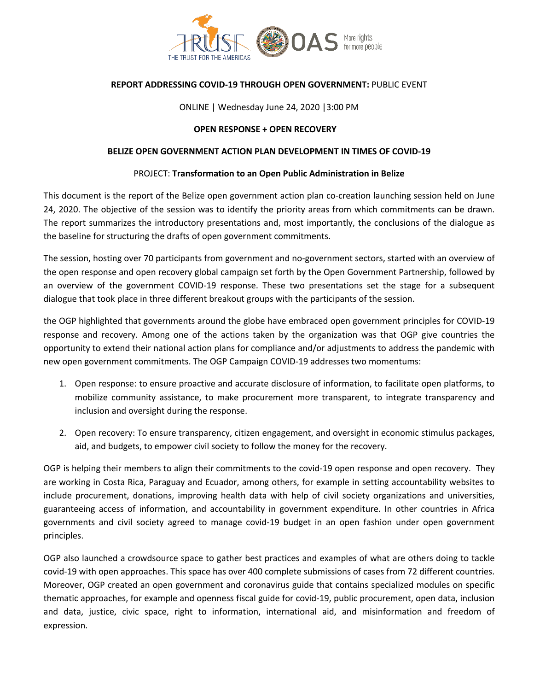

# **REPORT ADDRESSING COVID-19 THROUGH OPEN GOVERNMENT:** PUBLIC EVENT

### ONLINE | Wednesday June 24, 2020 |3:00 PM

### **OPEN RESPONSE + OPEN RECOVERY**

### **BELIZE OPEN GOVERNMENT ACTION PLAN DEVELOPMENT IN TIMES OF COVID-19**

### PROJECT: **Transformation to an Open Public Administration in Belize**

This document is the report of the Belize open government action plan co-creation launching session held on June 24, 2020. The objective of the session was to identify the priority areas from which commitments can be drawn. The report summarizes the introductory presentations and, most importantly, the conclusions of the dialogue as the baseline for structuring the drafts of open government commitments.

The session, hosting over 70 participants from government and no-government sectors, started with an overview of the open response and open recovery global campaign set forth by the Open Government Partnership, followed by an overview of the government COVID-19 response. These two presentations set the stage for a subsequent dialogue that took place in three different breakout groups with the participants of the session.

the OGP highlighted that governments around the globe have embraced open government principles for COVID-19 response and recovery. Among one of the actions taken by the organization was that OGP give countries the opportunity to extend their national action plans for compliance and/or adjustments to address the pandemic with new open government commitments. The OGP Campaign COVID-19 addresses two momentums:

- 1. Open response: to ensure proactive and accurate disclosure of information, to facilitate open platforms, to mobilize community assistance, to make procurement more transparent, to integrate transparency and inclusion and oversight during the response.
- 2. Open recovery: To ensure transparency, citizen engagement, and oversight in economic stimulus packages, aid, and budgets, to empower civil society to follow the money for the recovery.

OGP is helping their members to align their commitments to the covid-19 open response and open recovery. They are working in Costa Rica, Paraguay and Ecuador, among others, for example in setting accountability websites to include procurement, donations, improving health data with help of civil society organizations and universities, guaranteeing access of information, and accountability in government expenditure. In other countries in Africa governments and civil society agreed to manage covid-19 budget in an open fashion under open government principles.

OGP also launched a crowdsource space to gather best practices and examples of what are others doing to tackle covid-19 with open approaches. This space has over 400 complete submissions of cases from 72 different countries. Moreover, OGP created an open government and coronavirus guide that contains specialized modules on specific thematic approaches, for example and openness fiscal guide for covid-19, public procurement, open data, inclusion and data, justice, civic space, right to information, international aid, and misinformation and freedom of expression.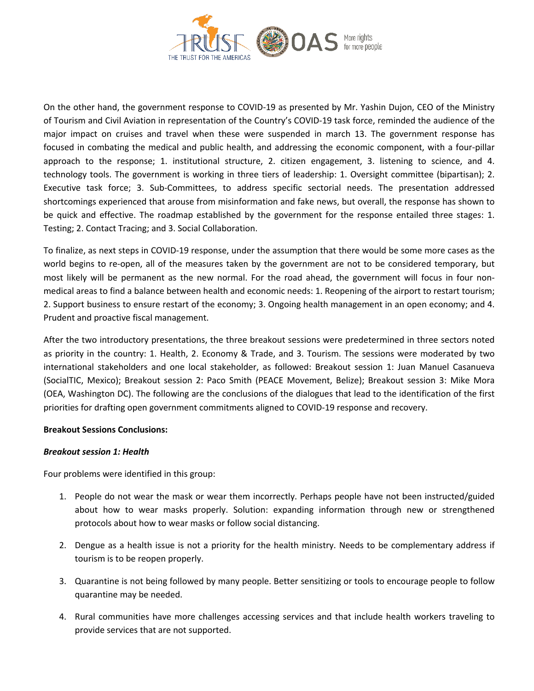

On the other hand, the government response to COVID-19 as presented by Mr. Yashin Dujon, CEO of the Ministry of Tourism and Civil Aviation in representation of the Country's COVID-19 task force, reminded the audience of the major impact on cruises and travel when these were suspended in march 13. The government response has focused in combating the medical and public health, and addressing the economic component, with a four-pillar approach to the response; 1. institutional structure, 2. citizen engagement, 3. listening to science, and 4. technology tools. The government is working in three tiers of leadership: 1. Oversight committee (bipartisan); 2. Executive task force; 3. Sub-Committees, to address specific sectorial needs. The presentation addressed shortcomings experienced that arouse from misinformation and fake news, but overall, the response has shown to be quick and effective. The roadmap established by the government for the response entailed three stages: 1. Testing; 2. Contact Tracing; and 3. Social Collaboration.

To finalize, as next steps in COVID-19 response, under the assumption that there would be some more cases as the world begins to re-open, all of the measures taken by the government are not to be considered temporary, but most likely will be permanent as the new normal. For the road ahead, the government will focus in four nonmedical areas to find a balance between health and economic needs: 1. Reopening of the airport to restart tourism; 2. Support business to ensure restart of the economy; 3. Ongoing health management in an open economy; and 4. Prudent and proactive fiscal management.

After the two introductory presentations, the three breakout sessions were predetermined in three sectors noted as priority in the country: 1. Health, 2. Economy & Trade, and 3. Tourism. The sessions were moderated by two international stakeholders and one local stakeholder, as followed: Breakout session 1: Juan Manuel Casanueva (SocialTIC, Mexico); Breakout session 2: Paco Smith (PEACE Movement, Belize); Breakout session 3: Mike Mora (OEA, Washington DC). The following are the conclusions of the dialogues that lead to the identification of the first priorities for drafting open government commitments aligned to COVID-19 response and recovery.

## **Breakout Sessions Conclusions:**

#### *Breakout session 1: Health*

Four problems were identified in this group:

- 1. People do not wear the mask or wear them incorrectly. Perhaps people have not been instructed/guided about how to wear masks properly. Solution: expanding information through new or strengthened protocols about how to wear masks or follow social distancing.
- 2. Dengue as a health issue is not a priority for the health ministry. Needs to be complementary address if tourism is to be reopen properly.
- 3. Quarantine is not being followed by many people. Better sensitizing or tools to encourage people to follow quarantine may be needed.
- 4. Rural communities have more challenges accessing services and that include health workers traveling to provide services that are not supported.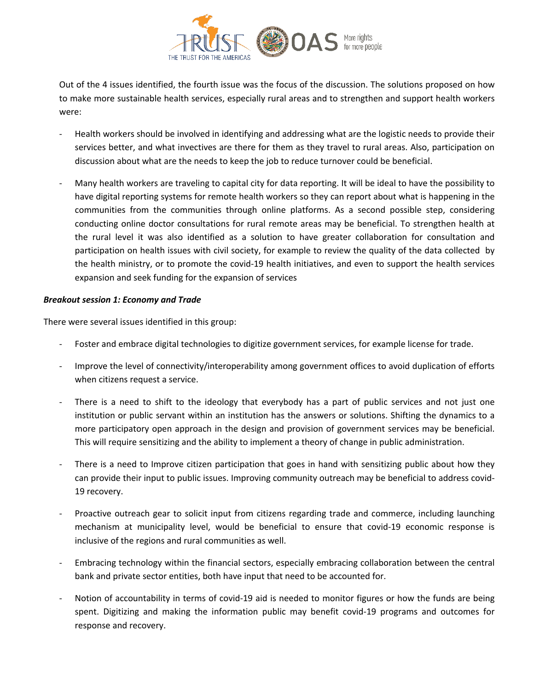

Out of the 4 issues identified, the fourth issue was the focus of the discussion. The solutions proposed on how to make more sustainable health services, especially rural areas and to strengthen and support health workers were:

- Health workers should be involved in identifying and addressing what are the logistic needs to provide their services better, and what invectives are there for them as they travel to rural areas. Also, participation on discussion about what are the needs to keep the job to reduce turnover could be beneficial.
- Many health workers are traveling to capital city for data reporting. It will be ideal to have the possibility to have digital reporting systems for remote health workers so they can report about what is happening in the communities from the communities through online platforms. As a second possible step, considering conducting online doctor consultations for rural remote areas may be beneficial. To strengthen health at the rural level it was also identified as a solution to have greater collaboration for consultation and participation on health issues with civil society, for example to review the quality of the data collected by the health ministry, or to promote the covid-19 health initiatives, and even to support the health services expansion and seek funding for the expansion of services

## *Breakout session 1: Economy and Trade*

There were several issues identified in this group:

- Foster and embrace digital technologies to digitize government services, for example license for trade.
- Improve the level of connectivity/interoperability among government offices to avoid duplication of efforts when citizens request a service.
- There is a need to shift to the ideology that everybody has a part of public services and not just one institution or public servant within an institution has the answers or solutions. Shifting the dynamics to a more participatory open approach in the design and provision of government services may be beneficial. This will require sensitizing and the ability to implement a theory of change in public administration.
- There is a need to Improve citizen participation that goes in hand with sensitizing public about how they can provide their input to public issues. Improving community outreach may be beneficial to address covid-19 recovery.
- Proactive outreach gear to solicit input from citizens regarding trade and commerce, including launching mechanism at municipality level, would be beneficial to ensure that covid-19 economic response is inclusive of the regions and rural communities as well.
- Embracing technology within the financial sectors, especially embracing collaboration between the central bank and private sector entities, both have input that need to be accounted for.
- Notion of accountability in terms of covid-19 aid is needed to monitor figures or how the funds are being spent. Digitizing and making the information public may benefit covid-19 programs and outcomes for response and recovery.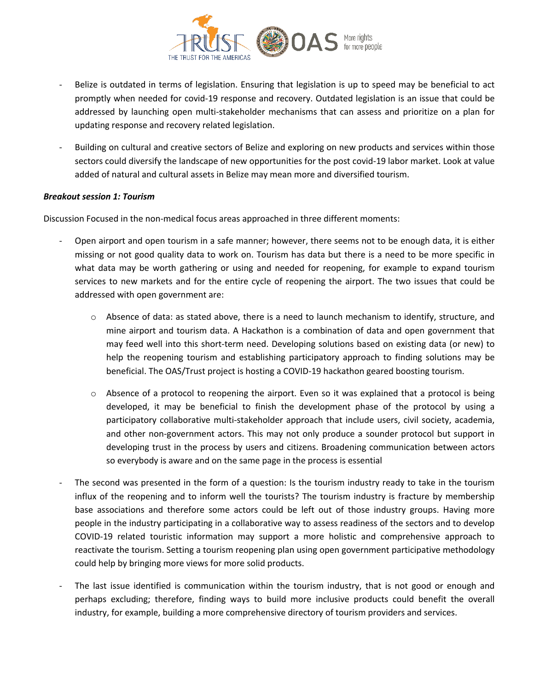

- Belize is outdated in terms of legislation. Ensuring that legislation is up to speed may be beneficial to act promptly when needed for covid-19 response and recovery. Outdated legislation is an issue that could be addressed by launching open multi-stakeholder mechanisms that can assess and prioritize on a plan for updating response and recovery related legislation.
- Building on cultural and creative sectors of Belize and exploring on new products and services within those sectors could diversify the landscape of new opportunities for the post covid-19 labor market. Look at value added of natural and cultural assets in Belize may mean more and diversified tourism.

### *Breakout session 1: Tourism*

Discussion Focused in the non-medical focus areas approached in three different moments:

- Open airport and open tourism in a safe manner; however, there seems not to be enough data, it is either missing or not good quality data to work on. Tourism has data but there is a need to be more specific in what data may be worth gathering or using and needed for reopening, for example to expand tourism services to new markets and for the entire cycle of reopening the airport. The two issues that could be addressed with open government are:
	- $\circ$  Absence of data: as stated above, there is a need to launch mechanism to identify, structure, and mine airport and tourism data. A Hackathon is a combination of data and open government that may feed well into this short-term need. Developing solutions based on existing data (or new) to help the reopening tourism and establishing participatory approach to finding solutions may be beneficial. The OAS/Trust project is hosting a COVID-19 hackathon geared boosting tourism.
	- o Absence of a protocol to reopening the airport. Even so it was explained that a protocol is being developed, it may be beneficial to finish the development phase of the protocol by using a participatory collaborative multi-stakeholder approach that include users, civil society, academia, and other non-government actors. This may not only produce a sounder protocol but support in developing trust in the process by users and citizens. Broadening communication between actors so everybody is aware and on the same page in the process is essential
- The second was presented in the form of a question: Is the tourism industry ready to take in the tourism influx of the reopening and to inform well the tourists? The tourism industry is fracture by membership base associations and therefore some actors could be left out of those industry groups. Having more people in the industry participating in a collaborative way to assess readiness of the sectors and to develop COVID-19 related touristic information may support a more holistic and comprehensive approach to reactivate the tourism. Setting a tourism reopening plan using open government participative methodology could help by bringing more views for more solid products.
- The last issue identified is communication within the tourism industry, that is not good or enough and perhaps excluding; therefore, finding ways to build more inclusive products could benefit the overall industry, for example, building a more comprehensive directory of tourism providers and services.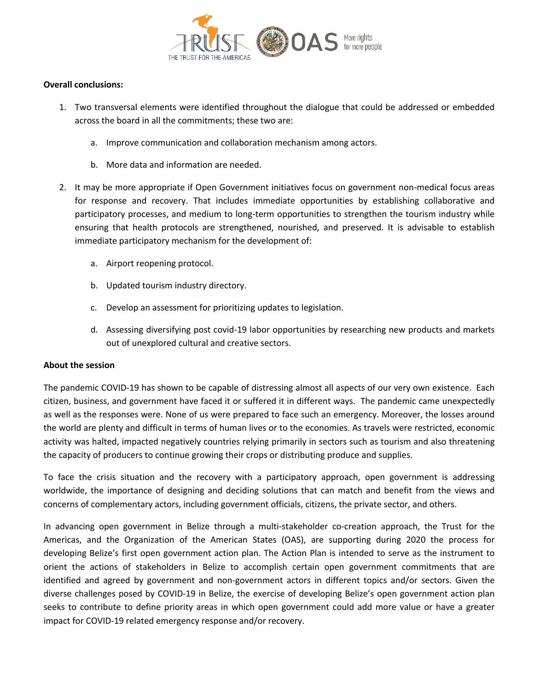

## **Overall conclusions:**

- 1. Two transversal elements were identified throughout the dialogue that could be addressed or embedded across the board in all the commitments; these two are:
	- a. Improve communication and collaboration mechanism among actors.
	- b. More data and information are needed.
- 2. It may be more appropriate if Open Government initiatives focus on government non-medical focus areas for response and recovery. That includes immediate opportunities by establishing collaborative and participatory processes, and medium to long-term opportunities to strengthen the tourism industry while ensuring that health protocols are strengthened, nourished, and preserved. It is advisable to establish immediate participatory mechanism for the development of:
	- a. Airport reopening protocol.
	- b. Updated tourism industry directory.
	- c. Develop an assessment for prioritizing updates to legislation.
	- d. Assessing diversifying post covid-19 labor opportunities by researching new products and markets out of unexplored cultural and creative sectors.

## **About the session**

The pandemic COVID-19 has shown to be capable of distressing almost all aspects of our very own existence. Each citizen, business, and government have faced it or suffered it in different ways. The pandemic came unexpectedly as well as the responses were. None of us were prepared to face such an emergency. Moreover, the losses around the world are plenty and difficult in terms of human lives or to the economies. As travels were restricted, economic activity was halted, impacted negatively countries relying primarily in sectors such as tourism and also threatening the capacity of producers to continue growing their crops or distributing produce and supplies.

To face the crisis situation and the recovery with a participatory approach, open government is addressing worldwide, the importance of designing and deciding solutions that can match and benefit from the views and concerns of complementary actors, including government officials, citizens, the private sector, and others.

In advancing open government in Belize through a multi-stakeholder co-creation approach, the Trust for the Americas, and the Organization of the American States (OAS), are supporting during 2020 the process for developing Belize's first open government action plan. The Action Plan is intended to serve as the instrument to orient the actions of stakeholders in Belize to accomplish certain open government commitments that are identified and agreed by government and non-government actors in different topics and/or sectors. Given the diverse challenges posed by COVID-19 in Belize, the exercise of developing Belize's open government action plan seeks to contribute to define priority areas in which open government could add more value or have a greater impact for COVID-19 related emergency response and/or recovery.